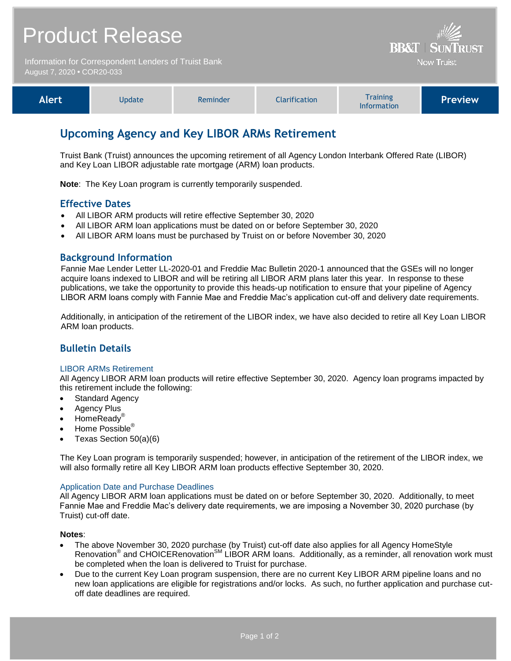|                                                                                    | <b>Product Release</b> | <b>BB&amp;T   SUNTRUST</b> |                      |                                |                |
|------------------------------------------------------------------------------------|------------------------|----------------------------|----------------------|--------------------------------|----------------|
| Information for Correspondent Lenders of Truist Bank<br>August 7, 2020 • COR20-033 |                        |                            |                      | <b>Now Truist</b>              |                |
| <b>Alert</b>                                                                       | Update                 | Reminder                   | <b>Clarification</b> | <b>Training</b><br>Information | <b>Preview</b> |

# **Upcoming Agency and Key LIBOR ARMs Retirement**

Truist Bank (Truist) announces the upcoming retirement of all Agency London Interbank Offered Rate (LIBOR) and Key Loan LIBOR adjustable rate mortgage (ARM) loan products.

**Note**: The Key Loan program is currently temporarily suspended.

## **Effective Dates**

- All LIBOR ARM products will retire effective September 30, 2020
- All LIBOR ARM loan applications must be dated on or before September 30, 2020
- All LIBOR ARM loans must be purchased by Truist on or before November 30, 2020

### **Background Information**

Fannie Mae Lender Letter LL-2020-01 and Freddie Mac Bulletin 2020-1 announced that the GSEs will no longer acquire loans indexed to LIBOR and will be retiring all LIBOR ARM plans later this year. In response to these publications, we take the opportunity to provide this heads-up notification to ensure that your pipeline of Agency LIBOR ARM loans comply with Fannie Mae and Freddie Mac's application cut-off and delivery date requirements.

Additionally, in anticipation of the retirement of the LIBOR index, we have also decided to retire all Key Loan LIBOR ARM loan products.

# **Bulletin Details**

#### LIBOR ARMs Retirement

All Agency LIBOR ARM loan products will retire effective September 30, 2020. Agency loan programs impacted by this retirement include the following:

- Standard Agency
- Agency Plus
- HomeReady®
- Home Possible<sup>®</sup>
- Texas Section 50(a)(6)

The Key Loan program is temporarily suspended; however, in anticipation of the retirement of the LIBOR index, we will also formally retire all Key LIBOR ARM loan products effective September 30, 2020.

#### Application Date and Purchase Deadlines

All Agency LIBOR ARM loan applications must be dated on or before September 30, 2020. Additionally, to meet Fannie Mae and Freddie Mac's delivery date requirements, we are imposing a November 30, 2020 purchase (by Truist) cut-off date.

#### **Notes**:

- The above November 30, 2020 purchase (by Truist) cut-off date also applies for all Agency HomeStyle Renovation<sup>®</sup> and CHOICERenovation<sup>SM</sup> LIBOR ARM loans. Additionally, as a reminder, all renovation work must be completed when the loan is delivered to Truist for purchase.
- Due to the current Key Loan program suspension, there are no current Key LIBOR ARM pipeline loans and no new loan applications are eligible for registrations and/or locks. As such, no further application and purchase cutoff date deadlines are required.